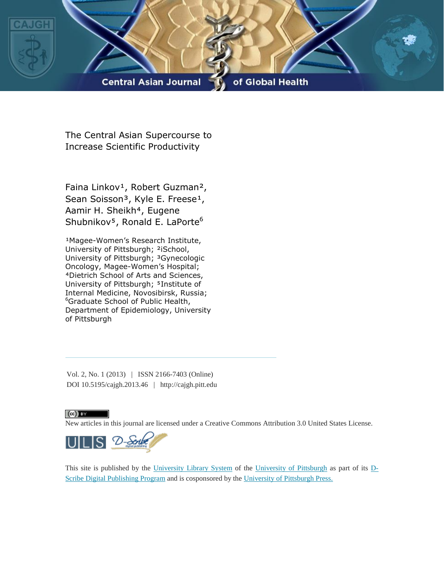

The Central Asian Supercourse to Increase Scientific Productivity

Faina Linkov<sup>1</sup>, Robert Guzman<sup>2</sup>, Sean Soisson<sup>3</sup>, Kyle E. Freese<sup>1</sup>, Aamir H. Sheikh<sup>4</sup>, Eugene Shubnikov<sup>5</sup>, Ronald E. LaPorte<sup>6</sup>

<sup>1</sup>Magee-Women's Research Institute, University of Pittsburgh; ²iSchool, University of Pittsburgh; <sup>3</sup>Gynecologic Oncology, Magee-Women's Hospital; ⁴Dietrich School of Arts and Sciences, University of Pittsburgh; <sup>5</sup>Institute of Internal Medicine, Novosibirsk, Russia; <sup>6</sup>Graduate School of Public Health, Department of Epidemiology, University of Pittsburgh

Vol. 2, No. 1 (2013) | ISSN 2166-7403 (Online) DOI 10.5195/cajgh.2013.46 | http://cajgh.pitt.edu

# $\left(\mathrm{cc}\right)$  BY

New articles in this journal are licensed under a Creative Commons Attribution 3.0 United States License.



This site is published by the [University Library System](http://www.library.pitt.edu/) of the [University of Pittsburgh](http://www.pitt.edu/) as part of its [D-](http://www.library.pitt.edu/articles/digpubtype/index.html)[Scribe Digital Publishing Program](http://www.library.pitt.edu/articles/digpubtype/index.html) and is cosponsored by the University of [Pittsburgh Press.](http://www.upress.pitt.edu/upressIndex.aspx)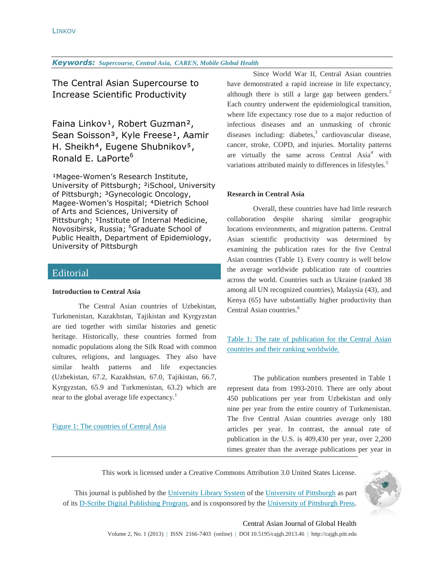The Central Asian Supercourse to Increase Scientific Productivity

Faina Linkov<sup>1</sup>, Robert Guzman<sup>2</sup>, Sean Soisson<sup>3</sup>, Kyle Freese<sup>1</sup>, Aamir H. Sheikh<sup>4</sup>, Eugene Shubnikov<sup>5</sup>, Ronald E. LaPorte<sup>6</sup>

<sup>1</sup>Magee-Women's Research Institute, University of Pittsburgh; ²iSchool, University of Pittsburgh; <sup>3</sup>Gynecologic Oncology, Magee-Women's Hospital; <sup>4</sup>Dietrich School of Arts and Sciences, University of Pittsburgh; <sup>5</sup>Institute of Internal Medicine, Novosibirsk, Russia; <sup>6</sup>Graduate School of Public Health, Department of Epidemiology, University of Pittsburgh

# **Editorial**

# **Introduction to Central Asia**

The Central Asian countries of Uzbekistan, Turkmenistan, Kazakhstan, Tajikistan and Kyrgyzstan are tied together with similar histories and genetic heritage. Historically, these countries formed from nomadic populations along the Silk Road with common cultures, religions, and languages. They also have similar health patterns and life expectancies (Uzbekistan, 67.2, Kazakhstan, 67.0, Tajikistan, 66.7, Kyrgyzstan, 65.9 and Turkmenistan, 63.2) which are near to the global average life expectancy.<sup>1</sup>

# [Figure 1: The countries of Central Asia](#page-6-0)

Since World War II, Central Asian countries have demonstrated a rapid increase in life expectancy, although there is still a large gap between genders.<sup>2</sup> Each country underwent the epidemiological transition, where life expectancy rose due to a major reduction of infectious diseases and an unmasking of chronic diseases including: diabetes, 3 cardiovascular disease, cancer, stroke, COPD, and injuries. Mortality patterns are virtually the same across Central  $Asia<sup>4</sup>$  with variations attributed mainly to differences in lifestyles.<sup>5</sup>

# **Research in Central Asia**

Overall, these countries have had little research collaboration despite sharing similar geographic locations environments, and migration patterns. Central Asian scientific productivity was determined by examining the publication rates for the five Central Asian countries (Table 1). Every country is well below the average worldwide publication rate of countries across the world. Countries such as Ukraine (ranked 38 among all UN recognized countries), Malaysia (43), and Kenya (65) have substantially higher productivity than Central Asian countries. 6

[Table 1: The rate of publication for the Central Asian](#page-7-0)  [countries and their ranking worldwide.](#page-7-0)

The publication numbers presented in Table 1 represent data from 1993-2010. There are only about 450 publications per year from Uzbekistan and only nine per year from the entire country of Turkmenistan. The five Central Asian countries average only 180 articles per year. In contrast, the annual rate of publication in the U.S. is 409,430 per year, over 2,200 times greater than the average publications per year in

This work is licensed under a Creative Commons Attribution 3.0 United States License.

This journal is published by the [University Library System](http://www.library.pitt.edu/) of the [University of Pittsburgh](http://www.pitt.edu/) as part of its [D-Scribe Digital Publishing Program,](http://www.library.pitt.edu/articles/digpubtype/index.html) and is cosponsored by the [University of Pittsburgh Press.](http://www.upress.pitt.edu/upressIndex.aspx)



# Central Asian Journal of Global Health

Volume 2, No. 1 (2013) | ISSN 2166-7403 (online) | DOI 10.5195/cajgh.2013.46 | http://cajgh.pitt.edu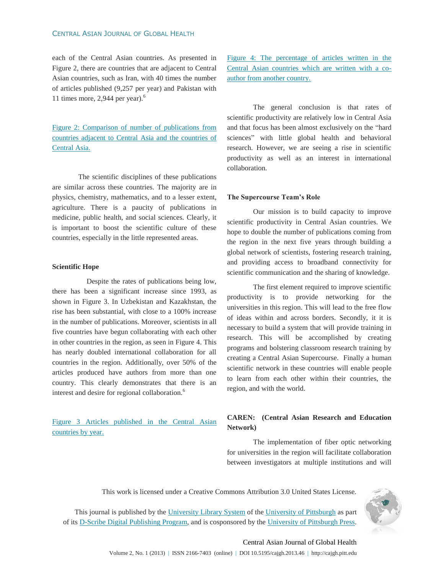#### CENTRAL ASIAN JOURNAL OF GLOBAL HEALTH

each of the Central Asian countries. As presented in Figure 2, there are countries that are adjacent to Central Asian countries, such as Iran, with 40 times the number of articles published (9,257 per year) and Pakistan with 11 times more,  $2,944$  per year).<sup>6</sup>

[Figure 2: Comparison of number of publications from](#page-8-0)  [countries adjacent to Central Asia and the countries of](#page-8-0)  [Central Asia.](#page-8-0)

The scientific disciplines of these publications are similar across these countries. The majority are in physics, chemistry, mathematics, and to a lesser extent, agriculture. There is a paucity of publications in medicine, public health, and social sciences. Clearly, it is important to boost the scientific culture of these countries, especially in the little represented areas.

#### **Scientific Hope**

Despite the rates of publications being low, there has been a significant increase since 1993, as shown in Figure 3. In Uzbekistan and Kazakhstan, the rise has been substantial, with close to a 100% increase in the number of publications. Moreover, scientists in all five countries have begun collaborating with each other in other countries in the region, as seen in Figure 4. This has nearly doubled international collaboration for all countries in the region. Additionally, over 50% of the articles produced have authors from more than one country. This clearly demonstrates that there is an interest and desire for regional collaboration.<sup>6</sup>

Figure 3 [Articles published in the Central Asian](#page-9-0)  [countries by year.](#page-9-0)

[Figure 4: The percentage of articles written in the](#page-10-0)  [Central Asian countries which are written with a co](#page-10-0)[author from another country.](#page-10-0)

The general conclusion is that rates of scientific productivity are relatively low in Central Asia and that focus has been almost exclusively on the "hard sciences" with little global health and behavioral research. However, we are seeing a rise in scientific productivity as well as an interest in international collaboration.

#### **The Supercourse Team's Role**

Our mission is to build capacity to improve scientific productivity in Central Asian countries. We hope to double the number of publications coming from the region in the next five years through building a global network of scientists, fostering research training, and providing access to broadband connectivity for scientific communication and the sharing of knowledge.

The first element required to improve scientific productivity is to provide networking for the universities in this region. This will lead to the free flow of ideas within and across borders. Secondly, it it is necessary to build a system that will provide training in research. This will be accomplished by creating programs and bolstering classroom research training by creating a Central Asian Supercourse. Finally a human scientific network in these countries will enable people to learn from each other within their countries, the region, and with the world.

# **CAREN: (Central Asian Research and Education Network)**

The implementation of fiber optic networking for universities in the region will facilitate collaboration between investigators at multiple institutions and will

This work is licensed under a Creative Commons Attribution 3.0 United States License.

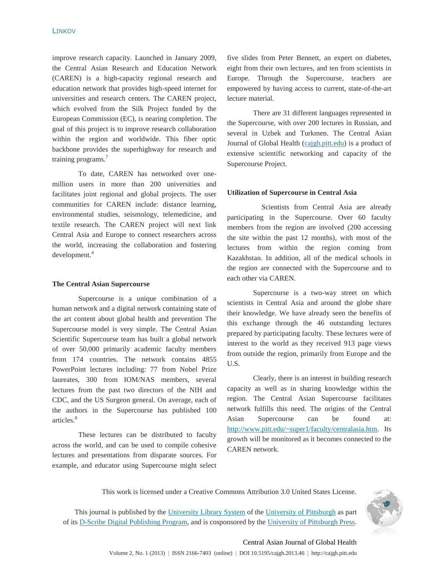improve research capacity. Launched in January 2009, the Central Asian Research and Education Network (CAREN) is a high-capacity regional research and education network that provides high-speed internet for universities and research centers. The CAREN project, which evolved from the Silk Project funded by the European Commission (EC), is nearing completion. The goal of this project is to improve research collaboration within the region and worldwide. This fiber optic backbone provides the superhighway for research and training programs.<sup>7</sup>

To date, CAREN has networked over onemillion users in more than 200 universities and facilitates joint regional and global projects. The user communities for CAREN include: distance learning, environmental studies, seismology, telemedicine, and textile research. The CAREN project will next link Central Asia and Europe to connect researchers across the world, increasing the collaboration and fostering development.<sup>4</sup>

#### **The Central Asian Supercourse**

Supercourse is a unique combination of a human network and a digital network containing state of the art content about global health and prevention The Supercourse model is very simple. The Central Asian Scientific Supercourse team has built a global network of over 50,000 primarily academic faculty members from 174 countries. The network contains 4855 PowerPoint lectures including: 77 from Nobel Prize laureates, 300 from IOM/NAS members, several lectures from the past two directors of the NIH and CDC, and the US Surgeon general. On average, each of the authors in the Supercourse has published 100 articles.<sup>8</sup>

These lectures can be distributed to faculty across the world, and can be used to compile cohesive lectures and presentations from disparate sources. For example, and educator using Supercourse might select

five slides from Peter Bennett, an expert on diabetes, eight from their own lectures, and ten from scientists in Europe. Through the Supercourse, teachers are empowered by having access to current, state-of-the-art lecture material.

There are 31 different languages represented in the Supercourse, with over 200 lectures in Russian, and several in Uzbek and Turkmen. The Central Asian Journal of Global Health [\(cajgh.pitt.edu\)](file:///C:/Users/freesek/AppData/Local/Microsoft/Windows/Temporary%20Internet%20Files/Content.IE5/FECMYLYF/cajgh.pitt.edu) is a product of extensive scientific networking and capacity of the Supercourse Project.

#### **Utilization of Supercourse in Central Asia**

Scientists from Central Asia are already participating in the Supercourse. Over 60 faculty members from the region are involved (200 accessing the site within the past 12 months), with most of the lectures from within the region coming from Kazakhstan. In addition, all of the medical schools in the region are connected with the Supercourse and to each other via CAREN.

Supercourse is a two-way street on which scientists in Central Asia and around the globe share their knowledge. We have already seen the benefits of this exchange through the 46 outstanding lectures prepared by participating faculty. These lectures were of interest to the world as they received 913 page views from outside the region, primarily from Europe and the U.S.

Clearly, there is an interest in building research capacity as well as in sharing knowledge within the region. The Central Asian Supercourse facilitates network fulfills this need. The origins of the Central Asian Supercourse can be found at: [http://www.pitt.edu/~super1/faculty/centralasia.htm.](http://www.pitt.edu/~super1/faculty/centralasia.htm) Its growth will be monitored as it becomes connected to the CAREN network.

This work is licensed under a Creative Commons Attribution 3.0 United States License.

This journal is published by the [University Library System](http://www.library.pitt.edu/) of the [University of Pittsburgh](http://www.pitt.edu/) as part of its [D-Scribe Digital Publishing Program,](http://www.library.pitt.edu/articles/digpubtype/index.html) and is cosponsored by the [University of Pittsburgh Press.](http://www.upress.pitt.edu/upressIndex.aspx)



# Central Asian Journal of Global Health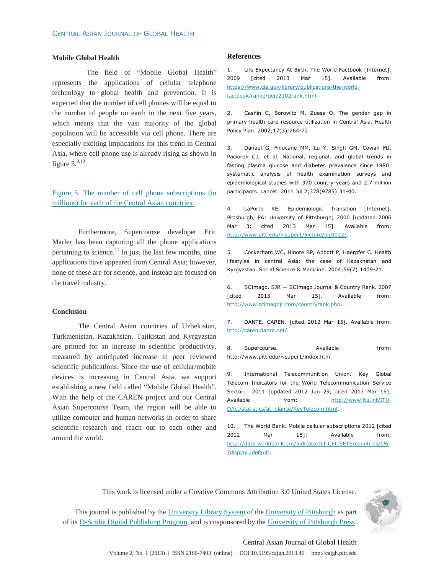#### **Mobile Global Health**

The field of "Mobile Global Health" represents the applications of cellular telephone technology to global health and prevention. It is expected that the number of cell phones will be equal to the number of people on earth in the next five years, which means that the vast majority of the global population will be accessible via cell phone. There are especially exciting implications for this trend in Central Asia, where cell phone use is already rising as shown in figure  $5.^{9,10}$ 

[Figure 5: The number of cell phone subscriptions \(in](#page-11-0)  [millions\) for each of the Central Asian countries.](#page-11-0)

Furthermore, Supercourse developer Eric Marler has been capturing all the phone applications pertaining to science. $11$  In just the last few months, nine applications have appeared from Central Asia; however, none of these are for science, and instead are focused on the travel industry.

#### **Conclusion**

The Central Asian countries of Uzbekistan, Turkmenistan, Kazakhstan, Tajikistan and Kyrgyzstan are primed for an increase in scientific productivity, measured by anticipated increase in peer reviewed scientific publications. Since the use of cellular/mobile devices is increasing in Central Asia, we support establishing a new field called "Mobile Global Health". With the help of the CAREN project and our Central Asian Supercourse Team, the region will be able to utilize computer and human networks in order to share scientific research and reach out to each other and around the world.

#### **References**

1. Life Expectancy At Birth. The World Factbook [Internet]. 2009 [cited 2013 Mar 15]. Available from: [https://www.cia.gov/library/publications/the-world](https://www.cia.gov/library/publications/the-world-factbook/rankorder/2102rank.html)[factbook/rankorder/2102rank.html.](https://www.cia.gov/library/publications/the-world-factbook/rankorder/2102rank.html)

2. Cashin C, Borowitz M, Zuess O. The gender gap in primary health care resource utilization in Central Asia. Health Policy Plan. 2002;17(3):264-72.

3. Danaei G, Finucane MM, Lu Y, Singh GM, Cowan MJ, Paciorek CJ; et al. National, regional, and global trends in fasting plasma glucose and diabetes prevalence since 1980: systematic analysis of health examination surveys and epidemiological studies with 370 country-years and 2.7 million participants. Lancet. 2011 Jul 2;378(9785):31-40.

4. LaPorte RE. Epidemiologic Transition [Internet]. Pittsburgh, PA: University of Pittsburgh; 2000 [updated 2006 Mar 3; cited 2013 Mar 15]. Available from: [http://www.pitt.edu/~super1/lecture/lec0022/.](http://www.pitt.edu/~super1/lecture/lec0022/)

5. Cockerham WC, Hinote BP, Abbott P, Haerpfer C. Health lifestyles in central Asia: the case of Kazakhstan and Kyrgyzstan. Social Science & Medicine. 2004;59(7):1409-21.

6. SCImago. SJR — SCImago Journal & Country Rank. 2007 [cited 2013 Mar 15]. Available from: [http://www.scimagojr.com/countryrank.php.](http://www.scimagojr.com/countryrank.php)

7. DANTE. CAREN. [cited 2012 Mar 15]. Available from: [http://caren.dante.net/.](http://caren.dante.net/)

8. Supercourse. Available from: http://www.pitt.edu/~super1/index.htm.

9. International Telecommunition Union. Key Global Telecom Indicators for the World Telecommunication Service Sector. 2011 [updated 2012 Jun 29; cited 2013 Mar 15]; Available from: [http://www.itu.int/ITU-](http://www.itu.int/ITU-D/ict/statistics/at_glance/KeyTelecom.html)[D/ict/statistics/at\\_glance/KeyTelecom.html.](http://www.itu.int/ITU-D/ict/statistics/at_glance/KeyTelecom.html)

10. The World Bank. Mobile cellular subscriptions 2012 [cited 2012 Mar 15]; Available from: [http://data.worldbank.org/indicator/IT.CEL.SETS/countries/1W](http://data.worldbank.org/indicator/IT.CEL.SETS/countries/1W?display=default) [?display=default.](http://data.worldbank.org/indicator/IT.CEL.SETS/countries/1W?display=default)

This work is licensed under a Creative Commons Attribution 3.0 United States License.



This journal is published by the [University Library System](http://www.library.pitt.edu/) of the [University of Pittsburgh](http://www.pitt.edu/) as part of its [D-Scribe Digital Publishing](http://www.library.pitt.edu/articles/digpubtype/index.html) Program, and is cosponsored by the [University of Pittsburgh Press.](http://www.upress.pitt.edu/upressIndex.aspx)

# Central Asian Journal of Global Health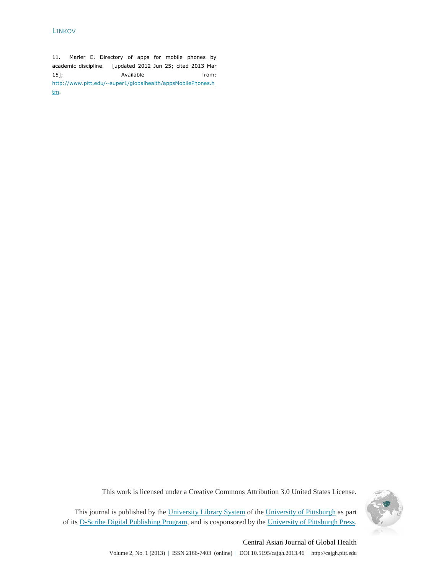# LINKOV

11. Marler E. Directory of apps for mobile phones by academic discipline. [updated 2012 Jun 25; cited 2013 Mar 15]; Available from: [http://www.pitt.edu/~super1/globalhealth/appsMobilePhones.h](http://www.pitt.edu/~super1/globalhealth/appsMobilePhones.htm) [tm.](http://www.pitt.edu/~super1/globalhealth/appsMobilePhones.htm)

This work is licensed under a Creative Commons Attribution 3.0 United States License.



This journal is published by the [University Library System](http://www.library.pitt.edu/) of the [University of Pittsburgh](http://www.pitt.edu/) as part of its [D-Scribe Digital Publishing Program,](http://www.library.pitt.edu/articles/digpubtype/index.html) and is cosponsored by the [University of Pittsburgh Press.](http://www.upress.pitt.edu/upressIndex.aspx)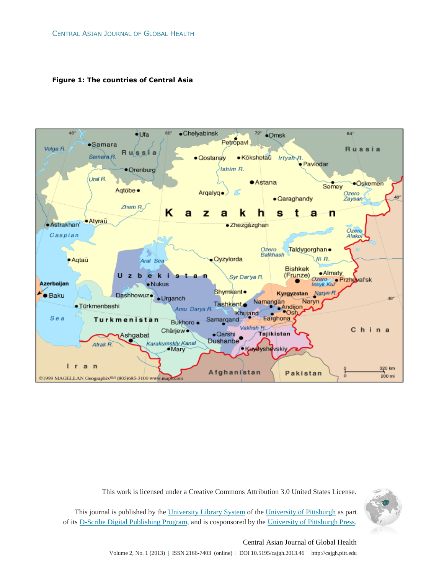<span id="page-6-0"></span>**Figure 1: The countries of Central Asia**



This work is licensed under a Creative Commons Attribution 3.0 United States License.



This journal is published by the [University Library System](http://www.library.pitt.edu/) of the [University of Pittsburgh](http://www.pitt.edu/) as part of its [D-Scribe Digital Publishing](http://www.library.pitt.edu/articles/digpubtype/index.html) Program, and is cosponsored by the [University of Pittsburgh Press.](http://www.upress.pitt.edu/upressIndex.aspx)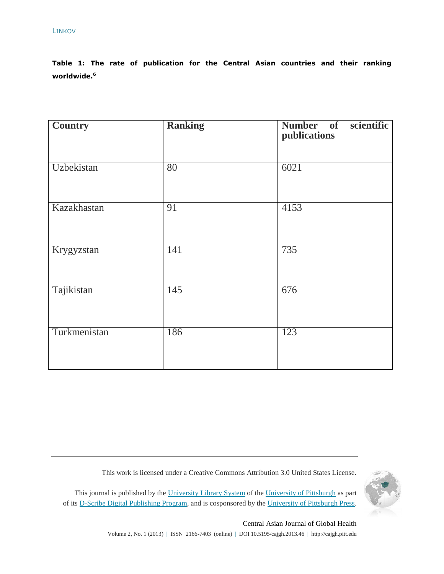<span id="page-7-0"></span>**Table 1: The rate of publication for the Central Asian countries and their ranking worldwide.<sup>6</sup>**

| <b>Country</b> | <b>Ranking</b> | scientific<br>Number of<br>publications |
|----------------|----------------|-----------------------------------------|
| Uzbekistan     | 80             | 6021                                    |
| Kazakhastan    | 91             | 4153                                    |
| Krygyzstan     | 141            | 735                                     |
| Tajikistan     | 145            | 676                                     |
| Turkmenistan   | 186            | 123                                     |

This work is licensed under a Creative Commons Attribution 3.0 United States License.

This journal is published by the [University Library System](http://www.library.pitt.edu/) of the [University of Pittsburgh](http://www.pitt.edu/) as part of its [D-Scribe Digital Publishing Program,](http://www.library.pitt.edu/articles/digpubtype/index.html) and is cosponsored by the [University of Pittsburgh Press.](http://www.upress.pitt.edu/upressIndex.aspx)



# Central Asian Journal of Global Health

Volume 2, No. 1 (2013) | ISSN 2166-7403 (online) | DOI 10.5195/cajgh.2013.46 | http://cajgh.pitt.edu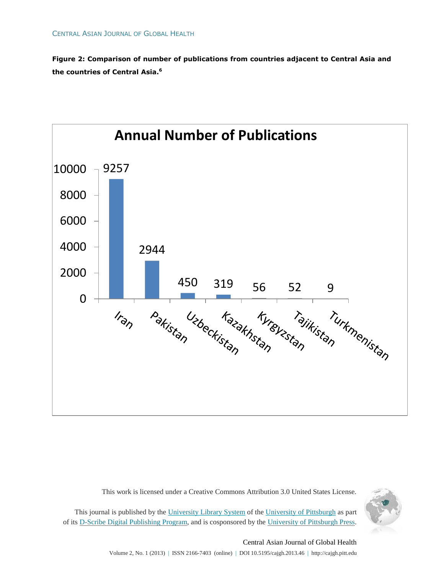<span id="page-8-0"></span>**Figure 2: Comparison of number of publications from countries adjacent to Central Asia and the countries of Central Asia.<sup>6</sup>**



This work is licensed under a Creative Commons Attribution 3.0 United States License.



This journal is published by the [University Library System](http://www.library.pitt.edu/) of the [University of Pittsburgh](http://www.pitt.edu/) as part of its [D-Scribe Digital Publishing](http://www.library.pitt.edu/articles/digpubtype/index.html) Program, and is cosponsored by the [University of Pittsburgh Press.](http://www.upress.pitt.edu/upressIndex.aspx)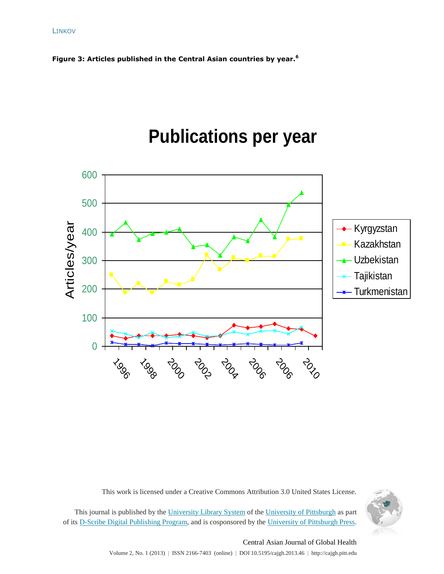<span id="page-9-0"></span>





This work is licensed under a Creative Commons Attribution 3.0 United States License.



This journal is published by the [University Library System](http://www.library.pitt.edu/) of the [University of Pittsburgh](http://www.pitt.edu/) as part of its [D-Scribe Digital Publishing Program,](http://www.library.pitt.edu/articles/digpubtype/index.html) and is cosponsored by the [University of Pittsburgh Press.](http://www.upress.pitt.edu/upressIndex.aspx)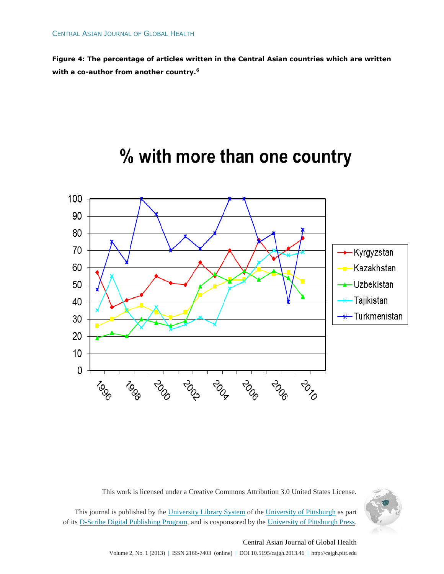<span id="page-10-0"></span>**Figure 4: The percentage of articles written in the Central Asian countries which are written with a co-author from another country.<sup>6</sup>**



# % with more than one country

This work is licensed under a Creative Commons Attribution 3.0 United States License.



This journal is published by the [University Library System](http://www.library.pitt.edu/) of the [University of Pittsburgh](http://www.pitt.edu/) as part of its [D-Scribe Digital Publishing](http://www.library.pitt.edu/articles/digpubtype/index.html) Program, and is cosponsored by the [University of Pittsburgh Press.](http://www.upress.pitt.edu/upressIndex.aspx)